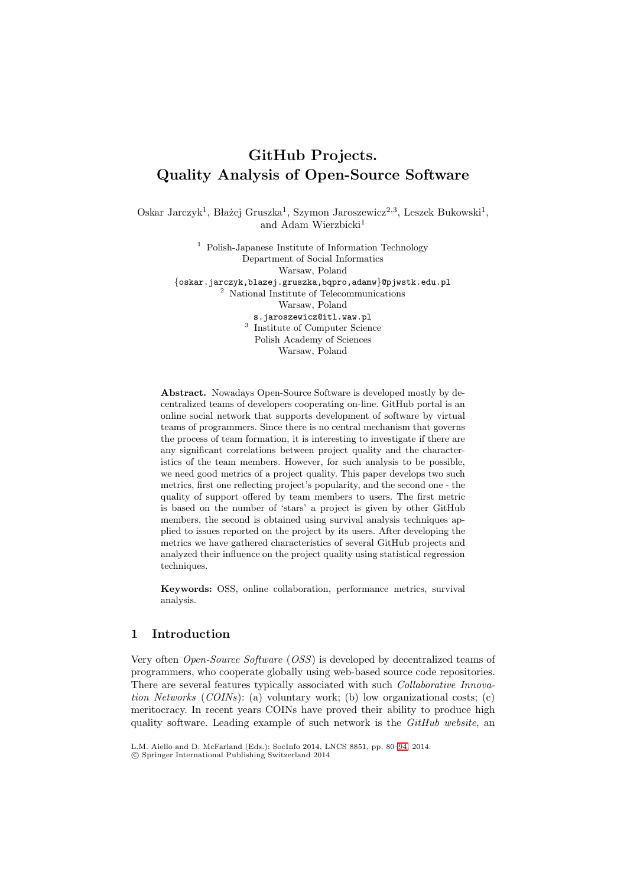# **GitHub Projects. Quality Analysis of Open-Source Software**

Oskar Jarczyk<sup>1</sup>, Błażej Gruszka<sup>1</sup>, Szymon Jaroszewicz<sup>2,3</sup>, Leszek Bukowski<sup>1</sup>, and Adam Wierzbicki<sup>1</sup>

 $^{\rm 1}$  Polish-Japanese Institute of Information Technology Department of Social Informatics Warsaw, Poland *{*oskar.jarczyk,blazej.gruszka,bqpro,adamw*}*@pjwstk.edu.pl <sup>2</sup> National Institute of Telecommunications Warsaw, Poland s.jaroszewicz@itl.waw.pl <sup>3</sup> Institute of Computer Science Polish Academy of Sciences Warsaw, Poland

**Abstract.** Nowadays Open-Source Software is developed mostly by decentralized teams of developers cooperating on-line. GitHub portal is an online social network that supports development of software by virtual teams of programmers. Since there is no central mechanism that governs the process of team formation, it is interesting to investigate if there are any significant correlations between project quality and the characteristics of the team members. However, for such analysis to be possible, we need good metrics of a project quality. This paper develops two such metrics, first one reflecting project's popularity, and the second one - the quality of support offered by team members to users. The first metric is based on the number of 'stars' a project is given by other GitHub members, the second is obtained using survival analysis techniques applied to issues reported on the project by its users. After developing the metrics we have gathered characteristics of several GitHub projects and analyzed their influence on the project quality using statistical regression techniques.

**Keywords:** OSS, online collaboration, performance metrics, survival analysis.

# **1 Introduction**

Very often *Open-Source Software* (*OSS*) is developed by decentralized teams of programmers, who cooperate globally using web-based source code repositories. There are several features typically associated with such *Collaborative Innovation Networks* (*COINs*): (a) voluntary work; (b) low organizational costs; (c) meritocracy. In recent years COINs have proved their ability to produce high quality software. Leading example of such network is the *GitHub website*, an

L.M. Aiello and D. McFarland (Eds.): SocInfo 2014, LNCS 8851, pp. 80[–94,](#page-13-0) 2014. -c Springer International Publishing Switzerland 2014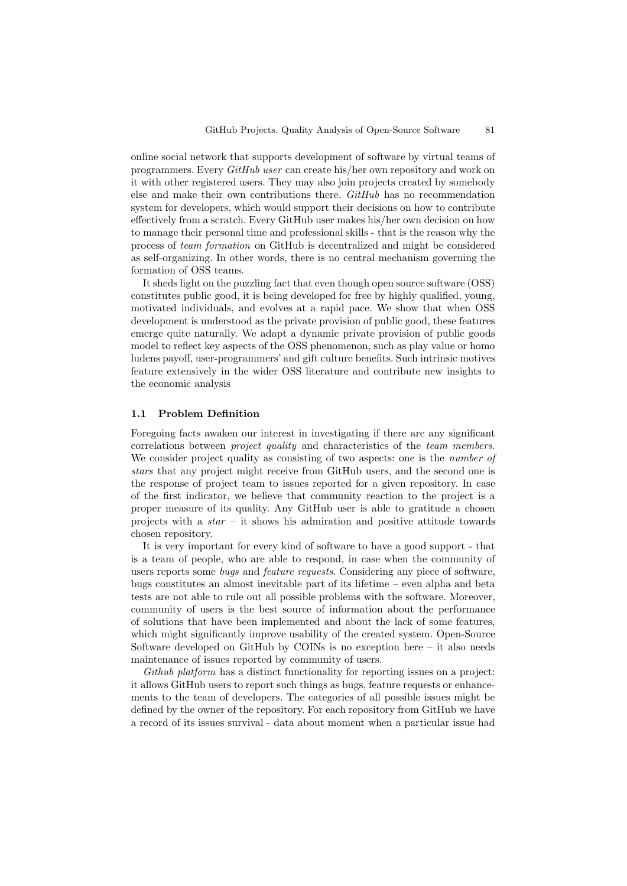online social network that supports development of software by virtual teams of programmers. Every *GitHub user* can create his/her own repository and work on it with other registered users. They may also join projects created by somebody else and make their own contributions there. *GitHub* has no recommendation system for developers, which would support their decisions on how to contribute effectively from a scratch. Every GitHub user makes his/her own decision on how to manage their personal time and professional skills - that is the reason why the process of *team formation* on GitHub is decentralized and might be considered as self-organizing. In other words, there is no central mechanism governing the formation of OSS teams.

It sheds light on the puzzling fact that even though open source software (OSS) constitutes public good, it is being developed for free by highly qualified, young, motivated individuals, and evolves at a rapid pace. We show that when OSS development is understood as the private provision of public good, these features emerge quite naturally. We adapt a dynamic private provision of public goods model to reflect key aspects of the OSS phenomenon, such as play value or homo ludens payoff, user-programmers' and gift culture benefits. Such intrinsic motives feature extensively in the wider OSS literature and contribute new insights to the economic analysis

## **1.1 Problem Definition**

Foregoing facts awaken our interest in investigating if there are any significant correlations between *project quality* and characteristics of the *team members*. We consider project quality as consisting of two aspects: one is the *number of stars* that any project might receive from GitHub users, and the second one is the response of project team to issues reported for a given repository. In case of the first indicator, we believe that community reaction to the project is a proper measure of its quality. Any GitHub user is able to gratitude a chosen projects with a *star* – it shows his admiration and positive attitude towards chosen repository.

It is very important for every kind of software to have a good support - that is a team of people, who are able to respond, in case when the community of users reports some *bugs* and *feature requests*. Considering any piece of software, bugs constitutes an almost inevitable part of its lifetime – even alpha and beta tests are not able to rule out all possible problems with the software. Moreover, community of users is the best source of information about the performance of solutions that have been implemented and about the lack of some features, which might significantly improve usability of the created system. Open-Source Software developed on GitHub by COINs is no exception here – it also needs maintenance of issues reported by community of users.

*Github platform* has a distinct functionality for reporting issues on a project: it allows GitHub users to report such things as bugs, feature requests or enhancements to the team of developers. The categories of all possible issues might be defined by the owner of the repository. For each repository from GitHub we have a record of its issues survival - data about moment when a particular issue had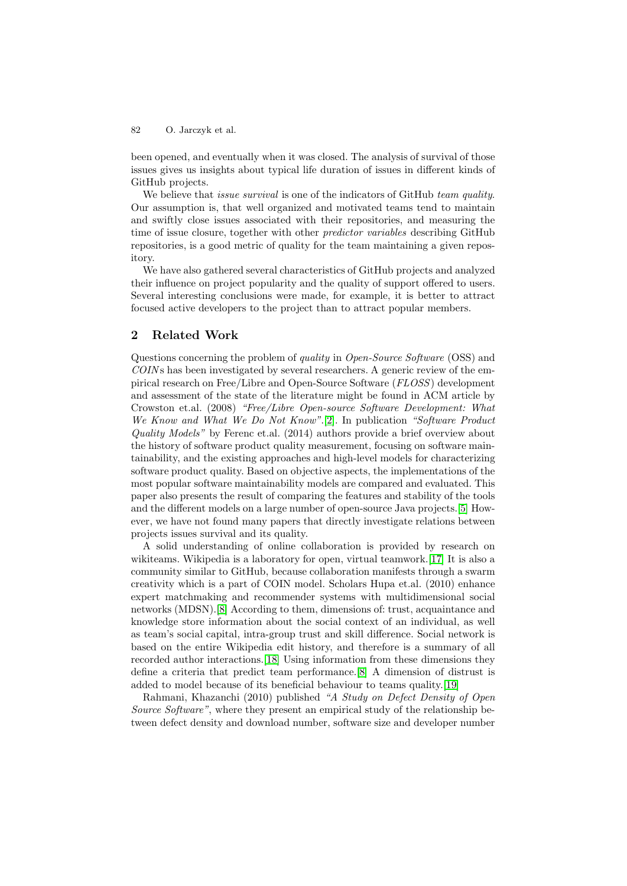been opened, and eventually when it was closed. The analysis of survival of those issues gives us insights about typical life duration of issues in different kinds of GitHub projects.

We believe that *issue survival* is one of the indicators of GitHub *team quality*. Our assumption is, that well organized and motivated teams tend to maintain and swiftly close issues associated with their repositories, and measuring the time of issue closure, together with other *predictor variables* describing GitHub repositories, is a good metric of quality for the team maintaining a given repository.

We have also gathered several characteristics of GitHub projects and analyzed their influence on project popularity and the quality of support offered to users. Several interesting conclusions were made, for example, it is better to attract focused active developers to the project than to attract popular members.

# **2 Related Work**

Questions concerning the problem of *quality* in *Open-Source Software* (OSS) and *COIN* s has been investigated by several researchers. A generic review of the empirical research on Free/Libre and Open-Source Software (*FLOSS*) development and assessment of the state of the literature might be found in ACM article by Crowston et.al. (2008) *"Free/Libre Open-source Software Development: What We Know and What We Do Not Know"*.[\[2\]](#page-13-1). In publication *"Software Product Quality Models"* by Ferenc et.al. (2014) authors provide a brief overview about the history of software product quality measurement, focusing on software maintainability, and the existing approaches and high-level models for characterizing software product quality. Based on objective aspects, the implementations of the most popular software maintainability models are compared and evaluated. This paper also presents the result of comparing the features and stability of the tools and the different models on a large number of open-source Java projects.[\[5\]](#page-13-2) However, we have not found many papers that directly investigate relations between projects issues survival and its quality.

A solid understanding of online collaboration is provided by research on wikiteams. Wikipedia is a laboratory for open, virtual teamwork.[\[17\]](#page-14-0) It is also a community similar to GitHub, because collaboration manifests through a swarm creativity which is a part of COIN model. Scholars Hupa et.al. (2010) enhance expert matchmaking and recommender systems with multidimensional social networks (MDSN).[\[8\]](#page-14-1) According to them, dimensions of: trust, acquaintance and knowledge store information about the social context of an individual, as well as team's social capital, intra-group trust and skill difference. Social network is based on the entire Wikipedia edit history, and therefore is a summary of all recorded author interactions.[\[18\]](#page-14-2) Using information from these dimensions they define a criteria that predict team performance.[\[8\]](#page-14-1) A dimension of distrust is added to model because of its beneficial behaviour to teams quality.[\[19\]](#page-14-3)

Rahmani, Khazanchi (2010) published *"A Study on Defect Density of Open Source Software"*, where they present an empirical study of the relationship between defect density and download number, software size and developer number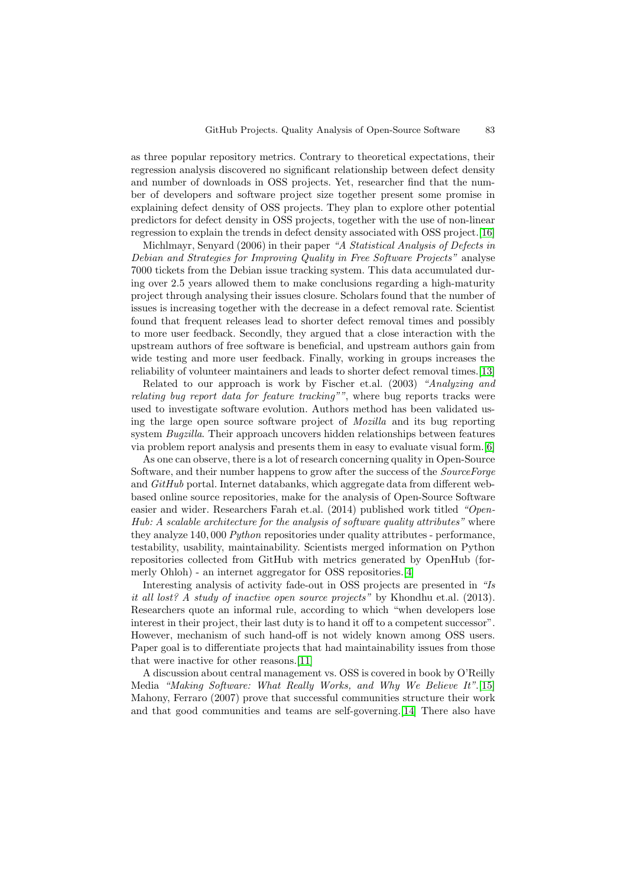as three popular repository metrics. Contrary to theoretical expectations, their regression analysis discovered no significant relationship between defect density and number of downloads in OSS projects. Yet, researcher find that the number of developers and software project size together present some promise in explaining defect density of OSS projects. They plan to explore other potential predictors for defect density in OSS projects, together with the use of non-linear regression to explain the trends in defect density associated with OSS project.[\[16\]](#page-14-4)

Michlmayr, Senyard (2006) in their paper *"A Statistical Analysis of Defects in Debian and Strategies for Improving Quality in Free Software Projects"* analyse 7000 tickets from the Debian issue tracking system. This data accumulated during over 2*.*5 years allowed them to make conclusions regarding a high-maturity project through analysing their issues closure. Scholars found that the number of issues is increasing together with the decrease in a defect removal rate. Scientist found that frequent releases lead to shorter defect removal times and possibly to more user feedback. Secondly, they argued that a close interaction with the upstream authors of free software is beneficial, and upstream authors gain from wide testing and more user feedback. Finally, working in groups increases the reliability of volunteer maintainers and leads to shorter defect removal times.[\[13\]](#page-14-5)

Related to our approach is work by Fischer et.al. (2003) *"Analyzing and relating bug report data for feature tracking""*, where bug reports tracks were used to investigate software evolution. Authors method has been validated using the large open source software project of *Mozilla* and its bug reporting system *Bugzilla*. Their approach uncovers hidden relationships between features via problem report analysis and presents them in easy to evaluate visual form.[\[6\]](#page-13-3)

As one can observe, there is a lot of research concerning quality in Open-Source Software, and their number happens to grow after the success of the *SourceForge* and *GitHub* portal. Internet databanks, which aggregate data from different webbased online source repositories, make for the analysis of Open-Source Software easier and wider. Researchers Farah et.al. (2014) published work titled *"Open-Hub: A scalable architecture for the analysis of software quality attributes"* where they analyze 140*,* 000 *Python* repositories under quality attributes - performance, testability, usability, maintainability. Scientists merged information on Python repositories collected from GitHub with metrics generated by OpenHub (formerly Ohloh) - an internet aggregator for OSS repositories.[\[4\]](#page-13-4)

Interesting analysis of activity fade-out in OSS projects are presented in *"Is it all lost? A study of inactive open source projects"* by Khondhu et.al. (2013). Researchers quote an informal rule, according to which "when developers lose interest in their project, their last duty is to hand it off to a competent successor". However, mechanism of such hand-off is not widely known among OSS users. Paper goal is to differentiate projects that had maintainability issues from those that were inactive for other reasons.[\[11\]](#page-14-6)

A discussion about central management vs. OSS is covered in book by O'Reilly Media *"Making Software: What Really Works, and Why We Believe It"*.[\[15\]](#page-14-7) Mahony, Ferraro (2007) prove that successful communities structure their work and that good communities and teams are self-governing.[\[14\]](#page-14-8) There also have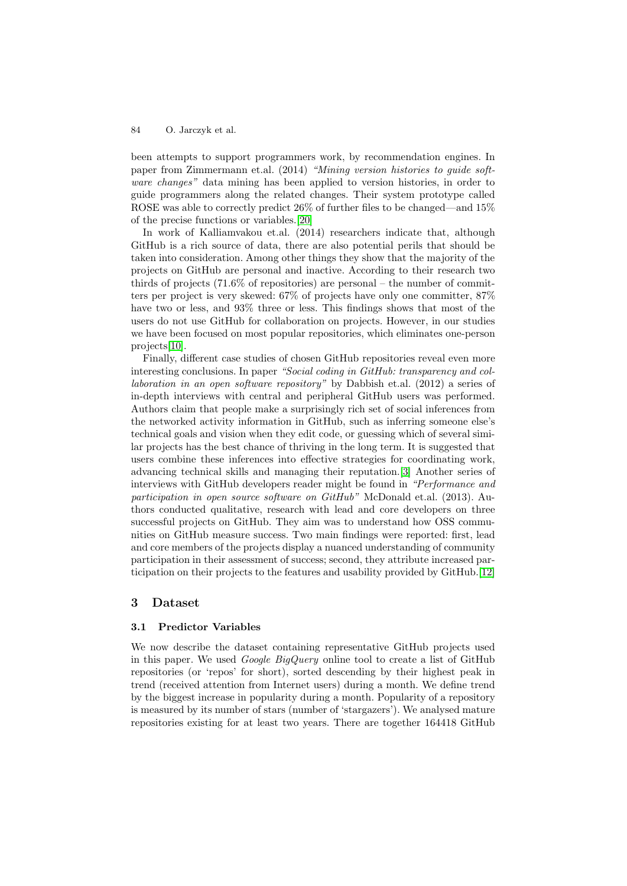been attempts to support programmers work, by recommendation engines. In paper from Zimmermann et.al. (2014) *"Mining version histories to guide software changes"* data mining has been applied to version histories, in order to guide programmers along the related changes. Their system prototype called ROSE was able to correctly predict 26% of further files to be changed—and 15% of the precise functions or variables.[\[20\]](#page-14-9)

In work of Kalliamvakou et.al. (2014) researchers indicate that, although GitHub is a rich source of data, there are also potential perils that should be taken into consideration. Among other things they show that the majority of the projects on GitHub are personal and inactive. According to their research two thirds of projects (71*.*6% of repositories) are personal – the number of committers per project is very skewed: 67% of projects have only one committer, 87% have two or less, and  $93\%$  three or less. This findings shows that most of the users do not use GitHub for collaboration on projects. However, in our studies we have been focused on most popular repositories, which eliminates one-person projects[\[10\]](#page-14-10).

Finally, different case studies of chosen GitHub repositories reveal even more interesting conclusions. In paper *"Social coding in GitHub: transparency and collaboration in an open software repository"* by Dabbish et.al. (2012) a series of in-depth interviews with central and peripheral GitHub users was performed. Authors claim that people make a surprisingly rich set of social inferences from the networked activity information in GitHub, such as inferring someone else's technical goals and vision when they edit code, or guessing which of several similar projects has the best chance of thriving in the long term. It is suggested that users combine these inferences into effective strategies for coordinating work, advancing technical skills and managing their reputation.[\[3\]](#page-13-5) Another series of interviews with GitHub developers reader might be found in *"Performance and participation in open source software on GitHub"* McDonald et.al. (2013). Authors conducted qualitative, research with lead and core developers on three successful projects on GitHub. They aim was to understand how OSS communities on GitHub measure success. Two main findings were reported: first, lead and core members of the projects display a nuanced understanding of community participation in their assessment of success; second, they attribute increased participation on their projects to the features and usability provided by GitHub.[\[12\]](#page-14-11)

# **3 Dataset**

# **3.1 Predictor Variables**

We now describe the dataset containing representative GitHub projects used in this paper. We used *Google BigQuery* online tool to create a list of GitHub repositories (or 'repos' for short), sorted descending by their highest peak in trend (received attention from Internet users) during a month. We define trend by the biggest increase in popularity during a month. Popularity of a repository is measured by its number of stars (number of 'stargazers'). We analysed mature repositories existing for at least two years. There are together 164418 GitHub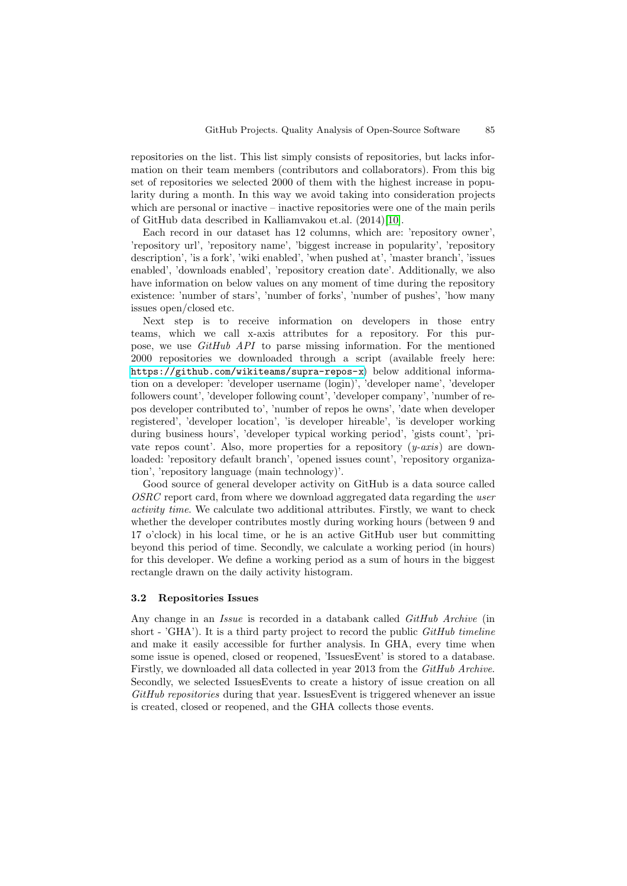repositories on the list. This list simply consists of repositories, but lacks information on their team members (contributors and collaborators). From this big set of repositories we selected 2000 of them with the highest increase in popularity during a month. In this way we avoid taking into consideration projects which are personal or inactive – inactive repositories were one of the main perils of GitHub data described in Kalliamvakou et.al. (2014)[\[10\]](#page-14-10).

Each record in our dataset has 12 columns, which are: 'repository owner', 'repository url', 'repository name', 'biggest increase in popularity', 'repository description', 'is a fork', 'wiki enabled', 'when pushed at', 'master branch', 'issues enabled', 'downloads enabled', 'repository creation date'. Additionally, we also have information on below values on any moment of time during the repository existence: 'number of stars', 'number of forks', 'number of pushes', 'how many issues open/closed etc.

Next step is to receive information on developers in those entry teams, which we call x-axis attributes for a repository. For this purpose, we use *GitHub API* to parse missing information. For the mentioned 2000 repositories we downloaded through a script (available freely here: <https://github.com/wikiteams/supra-repos-x>) below additional information on a developer: 'developer username (login)', 'developer name', 'developer followers count', 'developer following count', 'developer company', 'number of repos developer contributed to', 'number of repos he owns', 'date when developer registered', 'developer location', 'is developer hireable', 'is developer working during business hours', 'developer typical working period', 'gists count', 'private repos count'. Also, more properties for a repository (*y-axis*) are downloaded: 'repository default branch', 'opened issues count', 'repository organization', 'repository language (main technology)'.

Good source of general developer activity on GitHub is a data source called *OSRC* report card, from where we download aggregated data regarding the *user activity time*. We calculate two additional attributes. Firstly, we want to check whether the developer contributes mostly during working hours (between 9 and 17 o'clock) in his local time, or he is an active GitHub user but committing beyond this period of time. Secondly, we calculate a working period (in hours) for this developer. We define a working period as a sum of hours in the biggest rectangle drawn on the daily activity histogram.

## **3.2 Repositories Issues**

Any change in an *Issue* is recorded in a databank called *GitHub Archive* (in short - 'GHA'). It is a third party project to record the public *GitHub timeline* and make it easily accessible for further analysis. In GHA, every time when some issue is opened, closed or reopened, 'IssuesEvent' is stored to a database. Firstly, we downloaded all data collected in year 2013 from the *GitHub Archive*. Secondly, we selected IssuesEvents to create a history of issue creation on all *GitHub repositories* during that year. IssuesEvent is triggered whenever an issue is created, closed or reopened, and the GHA collects those events.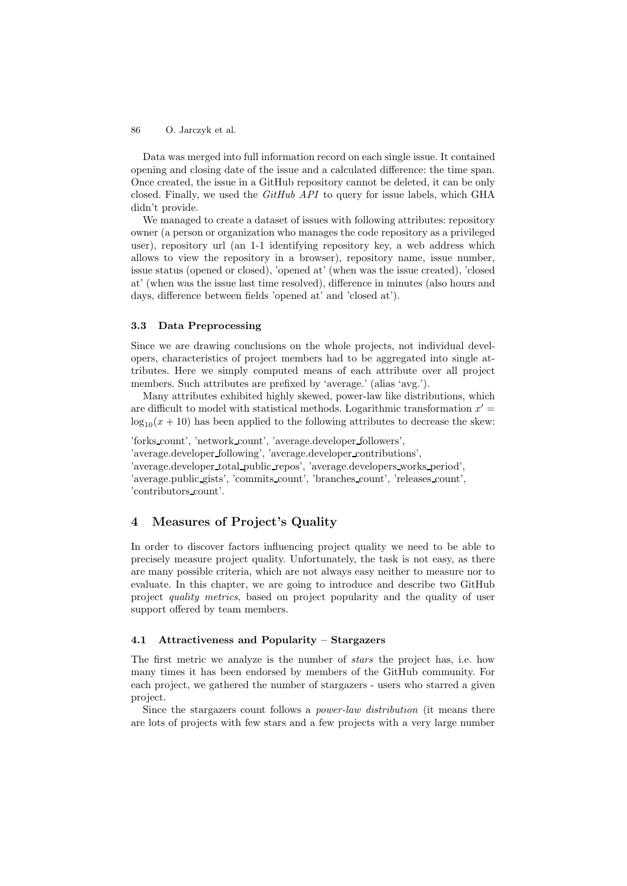Data was merged into full information record on each single issue. It contained opening and closing date of the issue and a calculated difference: the time span. Once created, the issue in a GitHub repository cannot be deleted, it can be only closed. Finally, we used the *GitHub API* to query for issue labels, which GHA didn't provide.

We managed to create a dataset of issues with following attributes: repository owner (a person or organization who manages the code repository as a privileged user), repository url (an 1-1 identifying repository key, a web address which allows to view the repository in a browser), repository name, issue number, issue status (opened or closed), 'opened at' (when was the issue created), 'closed at' (when was the issue last time resolved), difference in minutes (also hours and days, difference between fields 'opened at' and 'closed at').

# **3.3 Data Preprocessing**

Since we are drawing conclusions on the whole projects, not individual developers, characteristics of project members had to be aggregated into single attributes. Here we simply computed means of each attribute over all project members. Such attributes are prefixed by 'average.' (alias 'avg.').

Many attributes exhibited highly skewed, power-law like distributions, which are difficult to model with statistical methods. Logarithmic transformation  $x' =$  $log_{10}(x+10)$  has been applied to the following attributes to decrease the skew:

'forks count', 'network count', 'average.developer followers', 'average.developer following', 'average.developer contributions', 'average.developer total public repos', 'average.developers works period', 'average.public gists', 'commits count', 'branches count', 'releases count', 'contributors count'.

# **4 Measures of Project's Quality**

In order to discover factors influencing project quality we need to be able to precisely measure project quality. Unfortunately, the task is not easy, as there are many possible criteria, which are not always easy neither to measure nor to evaluate. In this chapter, we are going to introduce and describe two GitHub project *quality metrics*, based on project popularity and the quality of user support offered by team members.

# **4.1 Attractiveness and Popularity – Stargazers**

The first metric we analyze is the number of *stars* the project has, i.e. how many times it has been endorsed by members of the GitHub community. For each project, we gathered the number of stargazers - users who starred a given project.

Since the stargazers count follows a *power-law distribution* (it means there are lots of projects with few stars and a few projects with a very large number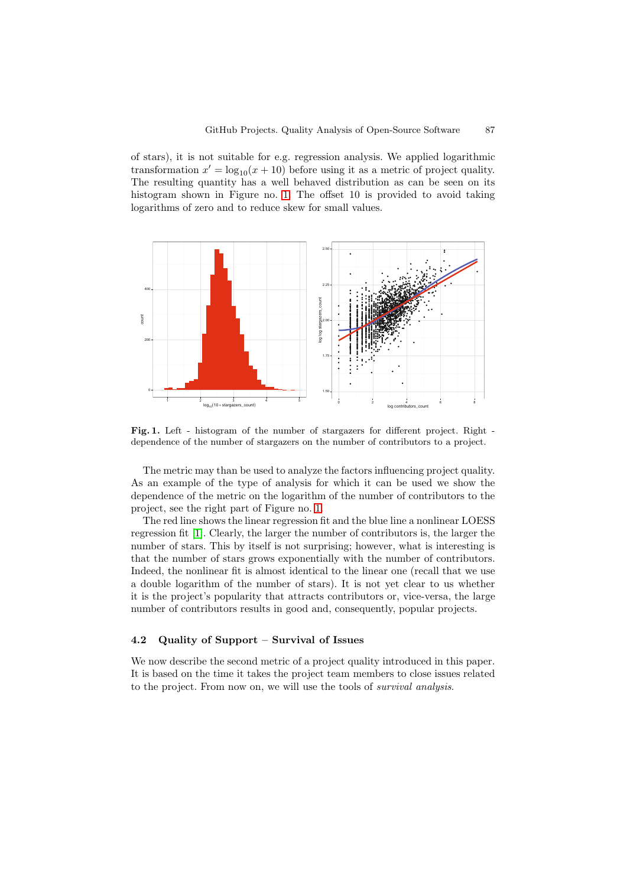of stars), it is not suitable for e.g. regression analysis. We applied logarithmic transformation  $x' = \log_{10}(x + 10)$  before using it as a metric of project quality. The resulting quantity has a well behaved distribution as can be seen on its histogram shown in Figure no. [1.](#page-7-0) The offset 10 is provided to avoid taking logarithms of zero and to reduce skew for small values.



<span id="page-7-0"></span>**Fig. 1.** Left - histogram of the number of stargazers for different project. Right dependence of the number of stargazers on the number of contributors to a project.

The metric may than be used to analyze the factors influencing project quality. As an example of the type of analysis for which it can be used we show the dependence of the metric on the logarithm of the number of contributors to the project, see the right part of Figure no. [1.](#page-7-0)

The red line shows the linear regression fit and the blue line a nonlinear LOESS regression fit [\[1\]](#page-13-6). Clearly, the larger the number of contributors is, the larger the number of stars. This by itself is not surprising; however, what is interesting is that the number of stars grows exponentially with the number of contributors. Indeed, the nonlinear fit is almost identical to the linear one (recall that we use a double logarithm of the number of stars). It is not yet clear to us whether it is the project's popularity that attracts contributors or, vice-versa, the large number of contributors results in good and, consequently, popular projects.

### **4.2 Quality of Support – Survival of Issues**

We now describe the second metric of a project quality introduced in this paper. It is based on the time it takes the project team members to close issues related to the project. From now on, we will use the tools of *survival analysis*.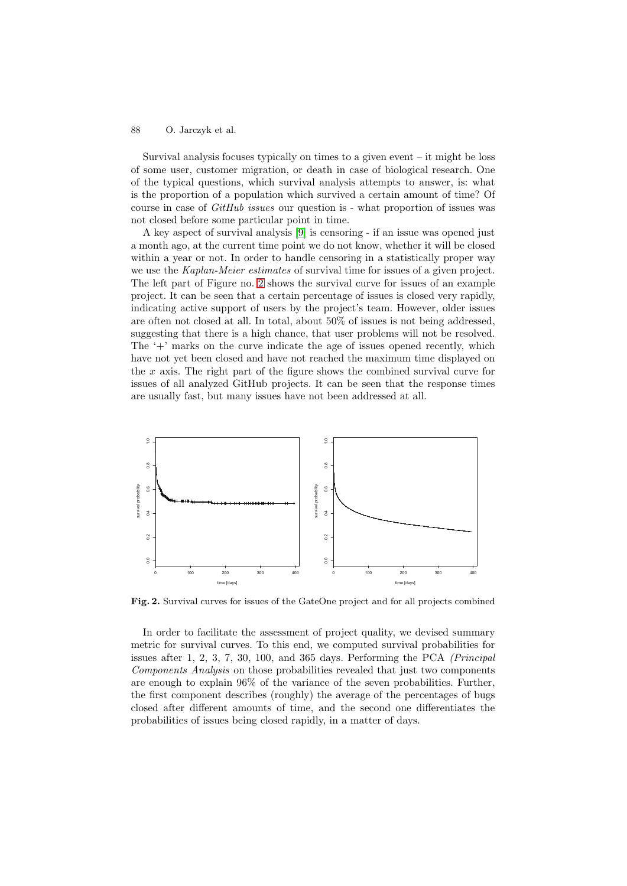Survival analysis focuses typically on times to a given event – it might be loss of some user, customer migration, or death in case of biological research. One of the typical questions, which survival analysis attempts to answer, is: what is the proportion of a population which survived a certain amount of time? Of course in case of *GitHub issues* our question is - what proportion of issues was not closed before some particular point in time.

A key aspect of survival analysis [\[9\]](#page-14-12) is censoring - if an issue was opened just a month ago, at the current time point we do not know, whether it will be closed within a year or not. In order to handle censoring in a statistically proper way we use the *Kaplan-Meier estimates* of survival time for issues of a given project. The left part of Figure no. [2](#page-8-0) shows the survival curve for issues of an example project. It can be seen that a certain percentage of issues is closed very rapidly, indicating active support of users by the project's team. However, older issues are often not closed at all. In total, about 50% of issues is not being addressed, suggesting that there is a high chance, that user problems will not be resolved. The '+' marks on the curve indicate the age of issues opened recently, which have not yet been closed and have not reached the maximum time displayed on the *x* axis. The right part of the figure shows the combined survival curve for issues of all analyzed GitHub projects. It can be seen that the response times are usually fast, but many issues have not been addressed at all.



<span id="page-8-0"></span>**Fig. 2.** Survival curves for issues of the GateOne project and for all projects combined

In order to facilitate the assessment of project quality, we devised summary metric for survival curves. To this end, we computed survival probabilities for issues after 1, 2, 3, 7, 30, 100, and 365 days. Performing the PCA *(Principal Components Analysis* on those probabilities revealed that just two components are enough to explain 96% of the variance of the seven probabilities. Further, the first component describes (roughly) the average of the percentages of bugs closed after different amounts of time, and the second one differentiates the probabilities of issues being closed rapidly, in a matter of days.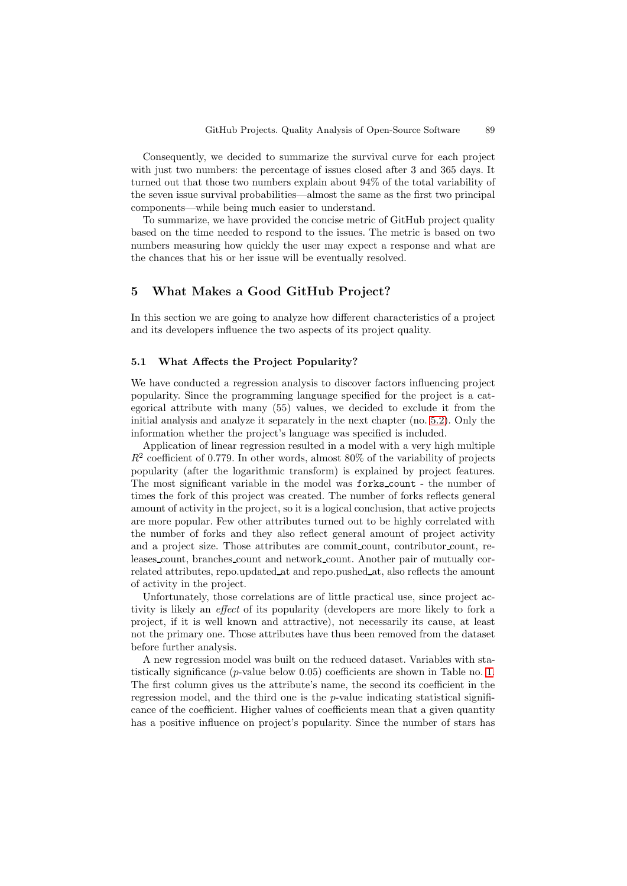Consequently, we decided to summarize the survival curve for each project with just two numbers: the percentage of issues closed after 3 and 365 days. It turned out that those two numbers explain about 94% of the total variability of the seven issue survival probabilities—almost the same as the first two principal components—while being much easier to understand.

To summarize, we have provided the concise metric of GitHub project quality based on the time needed to respond to the issues. The metric is based on two numbers measuring how quickly the user may expect a response and what are the chances that his or her issue will be eventually resolved.

# **5 What Makes a Good GitHub Project?**

In this section we are going to analyze how different characteristics of a project and its developers influence the two aspects of its project quality.

# **5.1 What Affects the Project Popularity?**

We have conducted a regression analysis to discover factors influencing project popularity. Since the programming language specified for the project is a categorical attribute with many (55) values, we decided to exclude it from the initial analysis and analyze it separately in the next chapter (no. [5.2\)](#page-10-0). Only the information whether the project's language was specified is included.

Application of linear regression resulted in a model with a very high multiple *R*<sup>2</sup> coefficient of 0*.*779. In other words, almost 80% of the variability of projects popularity (after the logarithmic transform) is explained by project features. The most significant variable in the model was forks count - the number of times the fork of this project was created. The number of forks reflects general amount of activity in the project, so it is a logical conclusion, that active projects are more popular. Few other attributes turned out to be highly correlated with the number of forks and they also reflect general amount of project activity and a project size. Those attributes are commit count, contributor count, releases count, branches count and network count. Another pair of mutually correlated attributes, repo.updated at and repo.pushed at, also reflects the amount of activity in the project.

Unfortunately, those correlations are of little practical use, since project activity is likely an *effect* of its popularity (developers are more likely to fork a project, if it is well known and attractive), not necessarily its cause, at least not the primary one. Those attributes have thus been removed from the dataset before further analysis.

A new regression model was built on the reduced dataset. Variables with statistically significance (*p*-value below 0*.*05) coefficients are shown in Table no. [1.](#page-11-0) The first column gives us the attribute's name, the second its coefficient in the regression model, and the third one is the *p*-value indicating statistical significance of the coefficient. Higher values of coefficients mean that a given quantity has a positive influence on project's popularity. Since the number of stars has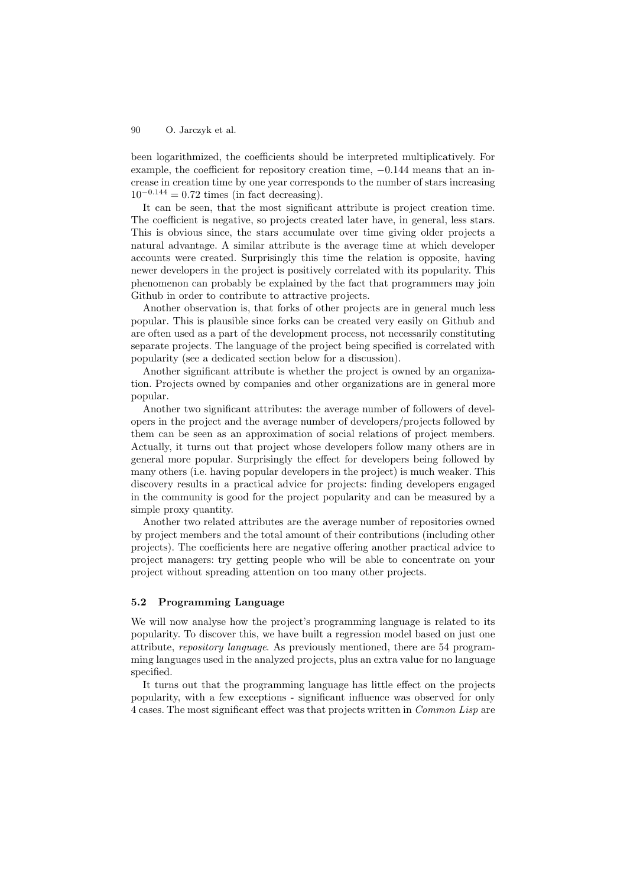been logarithmized, the coefficients should be interpreted multiplicatively. For example, the coefficient for repository creation time, −0*.*144 means that an increase in creation time by one year corresponds to the number of stars increasing  $10^{-0.144} = 0.72$  times (in fact decreasing).

It can be seen, that the most significant attribute is project creation time. The coefficient is negative, so projects created later have, in general, less stars. This is obvious since, the stars accumulate over time giving older projects a natural advantage. A similar attribute is the average time at which developer accounts were created. Surprisingly this time the relation is opposite, having newer developers in the project is positively correlated with its popularity. This phenomenon can probably be explained by the fact that programmers may join Github in order to contribute to attractive projects.

Another observation is, that forks of other projects are in general much less popular. This is plausible since forks can be created very easily on Github and are often used as a part of the development process, not necessarily constituting separate projects. The language of the project being specified is correlated with popularity (see a dedicated section below for a discussion).

Another significant attribute is whether the project is owned by an organization. Projects owned by companies and other organizations are in general more popular.

Another two significant attributes: the average number of followers of developers in the project and the average number of developers/projects followed by them can be seen as an approximation of social relations of project members. Actually, it turns out that project whose developers follow many others are in general more popular. Surprisingly the effect for developers being followed by many others (i.e. having popular developers in the project) is much weaker. This discovery results in a practical advice for projects: finding developers engaged in the community is good for the project popularity and can be measured by a simple proxy quantity.

Another two related attributes are the average number of repositories owned by project members and the total amount of their contributions (including other projects). The coefficients here are negative offering another practical advice to project managers: try getting people who will be able to concentrate on your project without spreading attention on too many other projects.

## <span id="page-10-0"></span>**5.2 Programming Language**

We will now analyse how the project's programming language is related to its popularity. To discover this, we have built a regression model based on just one attribute, *repository language*. As previously mentioned, there are 54 programming languages used in the analyzed projects, plus an extra value for no language specified.

It turns out that the programming language has little effect on the projects popularity, with a few exceptions - significant influence was observed for only 4 cases. The most significant effect was that projects written in *Common Lisp* are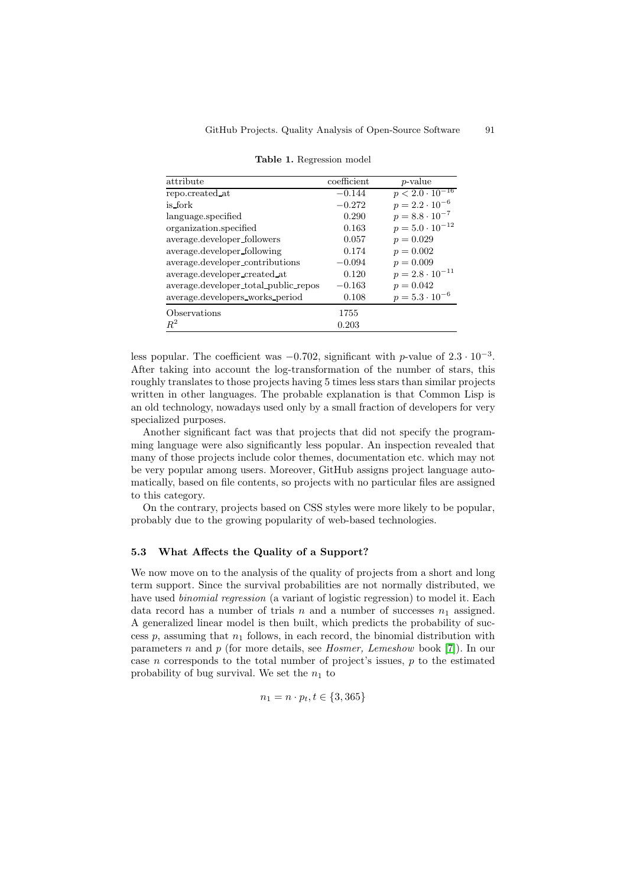| attribute                            | coefficient | $p$ -value               |
|--------------------------------------|-------------|--------------------------|
| repo.created at                      | $-0.144$    | $p < 2.0 \cdot 10^{-16}$ |
| is_fork                              | $-0.272$    | $p = 2.2 \cdot 10^{-6}$  |
| language.specified                   | 0.290       | $p = 8.8 \cdot 10^{-7}$  |
| organization.specified               | 0.163       | $p = 5.0 \cdot 10^{-12}$ |
| average.developer_followers          | 0.057       | $p = 0.029$              |
| average.developer_following          | 0.174       | $p = 0.002$              |
| average.developer_contributions      | $-0.094$    | $p = 0.009$              |
| average.developer_created_at         | 0.120       | $p = 2.8 \cdot 10^{-11}$ |
| average.developer_total_public_repos | $-0.163$    | $p = 0.042$              |
| average.developers_works_period      | 0.108       | $p = 5.3 \cdot 10^{-6}$  |
| Observations                         | 1755        |                          |
| $R^2$                                | 0.203       |                          |

<span id="page-11-0"></span>**Table 1.** Regression model

less popular. The coefficient was <sup>−</sup>0*.*702, significant with *<sup>p</sup>*-value of 2*.*<sup>3</sup> · <sup>10</sup>−<sup>3</sup>. After taking into account the log-transformation of the number of stars, this roughly translates to those projects having 5 times less stars than similar projects written in other languages. The probable explanation is that Common Lisp is an old technology, nowadays used only by a small fraction of developers for very specialized purposes.

Another significant fact was that projects that did not specify the programming language were also significantly less popular. An inspection revealed that many of those projects include color themes, documentation etc. which may not be very popular among users. Moreover, GitHub assigns project language automatically, based on file contents, so projects with no particular files are assigned to this category.

On the contrary, projects based on CSS styles were more likely to be popular, probably due to the growing popularity of web-based technologies.

## **5.3 What Affects the Quality of a Support?**

We now move on to the analysis of the quality of projects from a short and long term support. Since the survival probabilities are not normally distributed, we have used *binomial regression* (a variant of logistic regression) to model it. Each data record has a number of trials  $n$  and a number of successes  $n_1$  assigned. A generalized linear model is then built, which predicts the probability of success  $p$ , assuming that  $n_1$  follows, in each record, the binomial distribution with parameters *n* and *p* (for more details, see *Hosmer, Lemeshow* book [\[7\]](#page-14-13)). In our case *n* corresponds to the total number of project's issues, *p* to the estimated probability of bug survival. We set the  $n_1$  to

$$
n_1 = n \cdot p_t, t \in \{3, 365\}
$$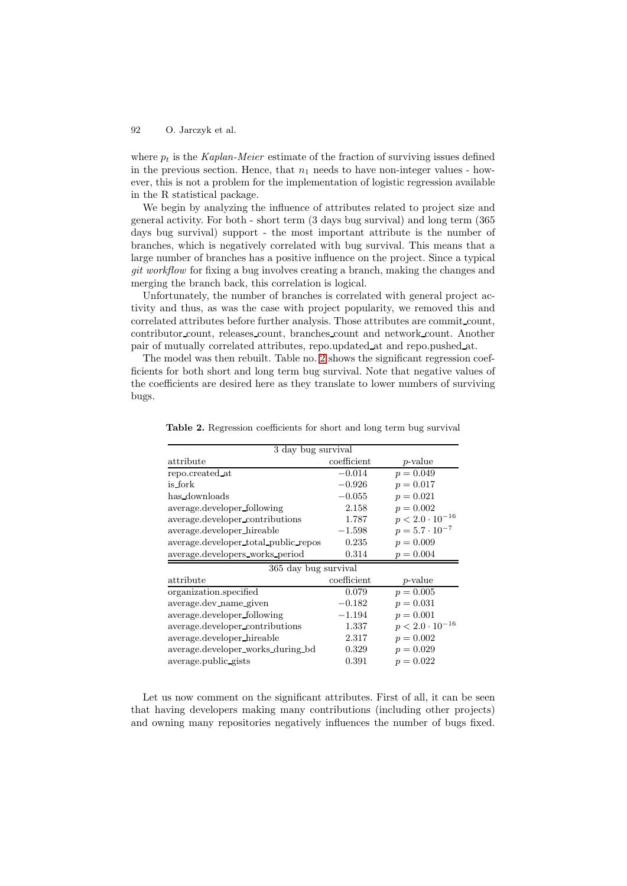where  $p_t$  is the *Kaplan-Meier* estimate of the fraction of surviving issues defined in the previous section. Hence, that  $n_1$  needs to have non-integer values - however, this is not a problem for the implementation of logistic regression available in the R statistical package.

We begin by analyzing the influence of attributes related to project size and general activity. For both - short term (3 days bug survival) and long term (365 days bug survival) support - the most important attribute is the number of branches, which is negatively correlated with bug survival. This means that a large number of branches has a positive influence on the project. Since a typical *git workflow* for fixing a bug involves creating a branch, making the changes and merging the branch back, this correlation is logical.

Unfortunately, the number of branches is correlated with general project activity and thus, as was the case with project popularity, we removed this and correlated attributes before further analysis. Those attributes are commit count, contributor count, releases count, branches count and network count. Another pair of mutually correlated attributes, repo.updated at and repo.pushed at.

The model was then rebuilt. Table no. [2](#page-12-0) shows the significant regression coefficients for both short and long term bug survival. Note that negative values of the coefficients are desired here as they translate to lower numbers of surviving bugs.

<span id="page-12-0"></span>

| 3 day bug survival                   |             |                          |  |
|--------------------------------------|-------------|--------------------------|--|
| attribute                            | coefficient | <i>p</i> -value          |  |
| repo.created_at                      | $-0.014$    | $p = 0.049$              |  |
| is_fork                              | $-0.926$    | $p = 0.017$              |  |
| has_downloads                        | $-0.055$    | $p = 0.021$              |  |
| average.developer_following          | 2.158       | $p = 0.002$              |  |
| average.developer_contributions      | 1.787       | $p < 2.0 \cdot 10^{-16}$ |  |
| average.developer_hireable           | $-1.598$    | $p = 5.7 \cdot 10^{-7}$  |  |
| average.developer_total_public_repos | 0.235       | $p = 0.009$              |  |
| average.developers_works_period      | 0.314       | $p = 0.004$              |  |
| 365 day bug survival                 |             |                          |  |
| attribute                            | coefficient | <i>p</i> -value          |  |
| organization.specified               | 0.079       | $p = 0.005$              |  |
| average.dev_name_given               | $-0.182$    | $p = 0.031$              |  |
| average.developer_following          | $-1.194$    | $p = 0.001$              |  |
| average.developer_contributions      | 1.337       | $p < 2.0 \cdot 10^{-16}$ |  |
| average.developer_hireable           | 2.317       | $p = 0.002$              |  |
| average.developer_works_during_bd    | 0.329       | $p = 0.029$              |  |
| average.public_gists                 | 0.391       | $p = 0.022$              |  |

**Table 2.** Regression coefficients for short and long term bug survival

Let us now comment on the significant attributes. First of all, it can be seen that having developers making many contributions (including other projects) and owning many repositories negatively influences the number of bugs fixed.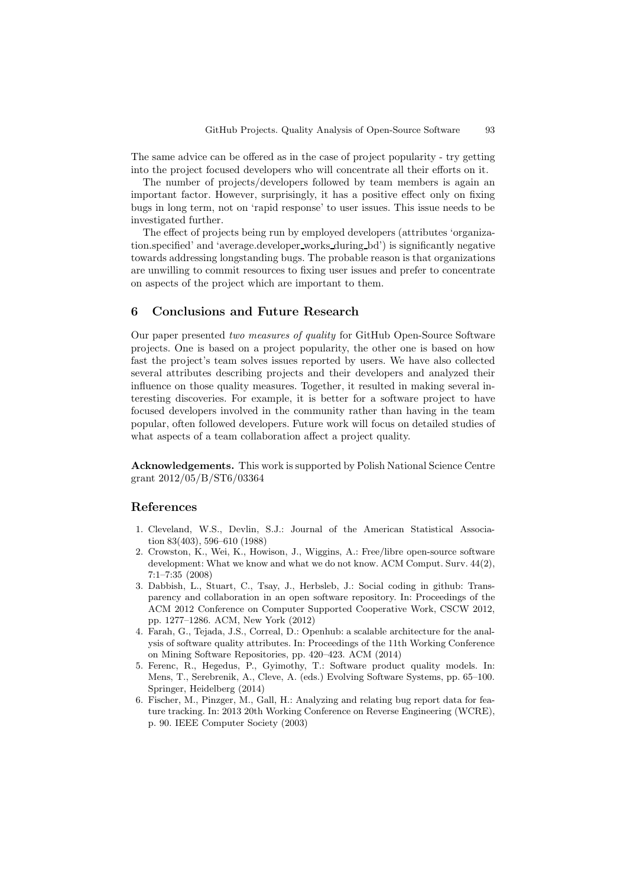The same advice can be offered as in the case of project popularity - try getting into the project focused developers who will concentrate all their efforts on it.

The number of projects/developers followed by team members is again an important factor. However, surprisingly, it has a positive effect only on fixing bugs in long term, not on 'rapid response' to user issues. This issue needs to be investigated further.

The effect of projects being run by employed developers (attributes 'organization.specified' and 'average.developer works during bd') is significantly negative towards addressing longstanding bugs. The probable reason is that organizations are unwilling to commit resources to fixing user issues and prefer to concentrate on aspects of the project which are important to them.

# **6 Conclusions and Future Research**

Our paper presented *two measures of quality* for GitHub Open-Source Software projects. One is based on a project popularity, the other one is based on how fast the project's team solves issues reported by users. We have also collected several attributes describing projects and their developers and analyzed their influence on those quality measures. Together, it resulted in making several interesting discoveries. For example, it is better for a software project to have focused developers involved in the community rather than having in the team popular, often followed developers. Future work will focus on detailed studies of what aspects of a team collaboration affect a project quality.

**Acknowledgements.** This work is supported by Polish National Science Centre grant 2012/05/B/ST6/03364

# <span id="page-13-6"></span><span id="page-13-0"></span>**References**

- 1. Cleveland, W.S., Devlin, S.J.: Journal of the American Statistical Association 83(403), 596–610 (1988)
- <span id="page-13-1"></span>2. Crowston, K., Wei, K., Howison, J., Wiggins, A.: Free/libre open-source software development: What we know and what we do not know. ACM Comput. Surv. 44(2), 7:1–7:35 (2008)
- <span id="page-13-5"></span>3. Dabbish, L., Stuart, C., Tsay, J., Herbsleb, J.: Social coding in github: Transparency and collaboration in an open software repository. In: Proceedings of the ACM 2012 Conference on Computer Supported Cooperative Work, CSCW 2012, pp. 1277–1286. ACM, New York (2012)
- <span id="page-13-4"></span>4. Farah, G., Tejada, J.S., Correal, D.: Openhub: a scalable architecture for the analysis of software quality attributes. In: Proceedings of the 11th Working Conference on Mining Software Repositories, pp. 420–423. ACM (2014)
- <span id="page-13-2"></span>5. Ferenc, R., Hegedus, P., Gyimothy, T.: Software product quality models. In: Mens, T., Serebrenik, A., Cleve, A. (eds.) Evolving Software Systems, pp. 65–100. Springer, Heidelberg (2014)
- <span id="page-13-3"></span>6. Fischer, M., Pinzger, M., Gall, H.: Analyzing and relating bug report data for feature tracking. In: 2013 20th Working Conference on Reverse Engineering (WCRE), p. 90. IEEE Computer Society (2003)